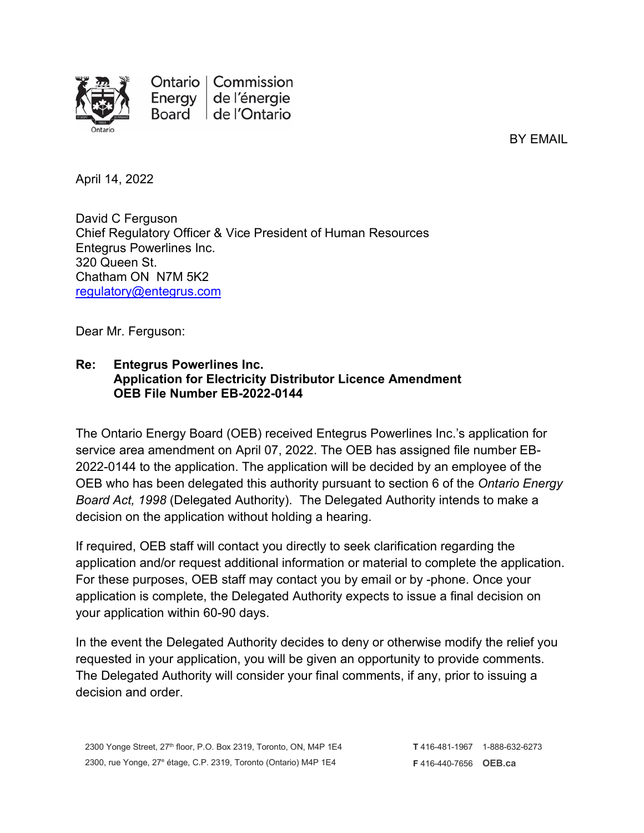

Ontario | Commission Energy | de l'énergie Board de l'Ontario

BY EMAIL

April 14, 2022

David C Ferguson Chief Regulatory Officer & Vice President of Human Resources Entegrus Powerlines Inc. 320 Queen St. Chatham ON N7M 5K2 [regulatory@entegrus.com](mailto:regulatory@entegrus.com)

Dear Mr. Ferguson:

## **Re: Entegrus Powerlines Inc. Application for Electricity Distributor Licence Amendment OEB File Number EB-2022-0144**

The Ontario Energy Board (OEB) received Entegrus Powerlines Inc.'s application for service area amendment on April 07, 2022. The OEB has assigned file number EB-2022-0144 to the application. The application will be decided by an employee of the OEB who has been delegated this authority pursuant to section 6 of the *Ontario Energy Board Act, 1998* (Delegated Authority). The Delegated Authority intends to make a decision on the application without holding a hearing.

If required, OEB staff will contact you directly to seek clarification regarding the application and/or request additional information or material to complete the application. For these purposes, OEB staff may contact you by email or by -phone. Once your application is complete, the Delegated Authority expects to issue a final decision on your application within 60-90 days.

In the event the Delegated Authority decides to deny or otherwise modify the relief you requested in your application, you will be given an opportunity to provide comments. The Delegated Authority will consider your final comments, if any, prior to issuing a decision and order.